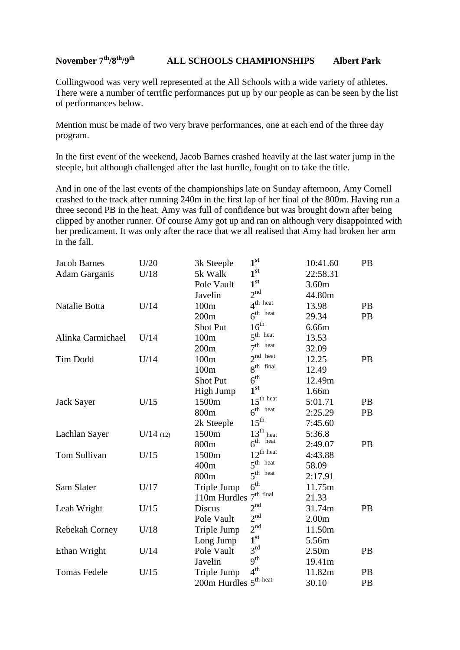## **November 7th/8th/9th ALL SCHOOLS CHAMPIONSHIPS Albert Park**

Collingwood was very well represented at the All Schools with a wide variety of athletes. There were a number of terrific performances put up by our people as can be seen by the list of performances below.

Mention must be made of two very brave performances, one at each end of the three day program.

In the first event of the weekend, Jacob Barnes crashed heavily at the last water jump in the steeple, but although challenged after the last hurdle, fought on to take the title.

And in one of the last events of the championships late on Sunday afternoon, Amy Cornell crashed to the track after running 240m in the first lap of her final of the 800m. Having run a three second PB in the heat, Amy was full of confidence but was brought down after being clipped by another runner. Of course Amy got up and ran on although very disappointed with her predicament. It was only after the race that we all realised that Amy had broken her arm in the fall.

| <b>Jacob Barnes</b>  | U/20     | 3k Steeple                   | 1 <sup>st</sup>       | 10:41.60          | PB        |
|----------------------|----------|------------------------------|-----------------------|-------------------|-----------|
| <b>Adam Garganis</b> | U/18     | 5k Walk                      | 1 <sup>st</sup>       | 22:58.31          |           |
|                      |          | Pole Vault                   | 1 <sup>st</sup>       | 3.60m             |           |
|                      |          | Javelin                      | 2 <sup>nd</sup>       | 44.80m            |           |
| Natalie Botta        | U/14     | 100m                         | $4th$ heat            | 13.98             | <b>PB</b> |
|                      |          | 200m                         | $6th$ heat            | 29.34             | PB        |
|                      |          | <b>Shot Put</b>              | 16 <sup>th</sup>      | 6.66m             |           |
| Alinka Carmichael    | U/14     | 100m                         | $5^{\text{th}}$ heat  | 13.53             |           |
|                      |          | 200m                         | $7th$ heat            | 32.09             |           |
| Tim Dodd             | U/14     | 100m                         | $2^{nd}$ heat         | 12.25             | <b>PB</b> |
|                      |          | 100m                         | $8th$ final           | 12.49             |           |
|                      |          | <b>Shot Put</b>              | $6^{\text{th}}$       | 12.49m            |           |
|                      |          | High Jump                    | 1 <sup>st</sup>       | 1.66m             |           |
| Jack Sayer           | U/15     | 1500m                        | $15^{\text{th heat}}$ | 5:01.71           | PB        |
|                      |          | 800m                         | $6th$ heat            | 2:25.29           | <b>PB</b> |
|                      |          | 2k Steeple                   | $15^{\text{th}}$      | 7:45.60           |           |
| Lachlan Sayer        | U/14(12) | 1500m                        | $13th$ heat           | 5:36.8            |           |
|                      |          | 800m                         | $6th$ heat            | 2:49.07           | PB        |
| Tom Sullivan         | U/15     | 1500m                        | $12^{\text{th heat}}$ | 4:43.88           |           |
|                      |          | 400m                         | $5^{\text{th}}$ heat  | 58.09             |           |
|                      |          | 800m                         | $5^{\text{th}}$ heat  | 2:17.91           |           |
| Sam Slater           | U/17     | Triple Jump                  | 6 <sup>th</sup>       | 11.75m            |           |
|                      |          | 110m Hurdles                 | $7th$ final           | 21.33             |           |
| Leah Wright          | U/15     | <b>Discus</b>                | 2 <sup>nd</sup>       | 31.74m            | PB        |
|                      |          | Pole Vault                   | 2 <sup>nd</sup>       | 2.00 <sub>m</sub> |           |
| Rebekah Corney       | U/18     | Triple Jump                  | 2 <sup>nd</sup>       | 11.50m            |           |
|                      |          | Long Jump                    | 1 <sup>st</sup>       | 5.56m             |           |
| Ethan Wright         | U/14     | Pole Vault                   | 3 <sup>rd</sup>       | 2.50 <sub>m</sub> | <b>PB</b> |
|                      |          | Javelin                      | $9^{\text{th}}$       | 19.41m            |           |
| <b>Tomas Fedele</b>  | U/15     | Triple Jump                  | 4 <sup>th</sup>       | 11.82m            | PB        |
|                      |          | $200m$ Hurdles $5^{th}$ heat |                       | 30.10             | PB        |